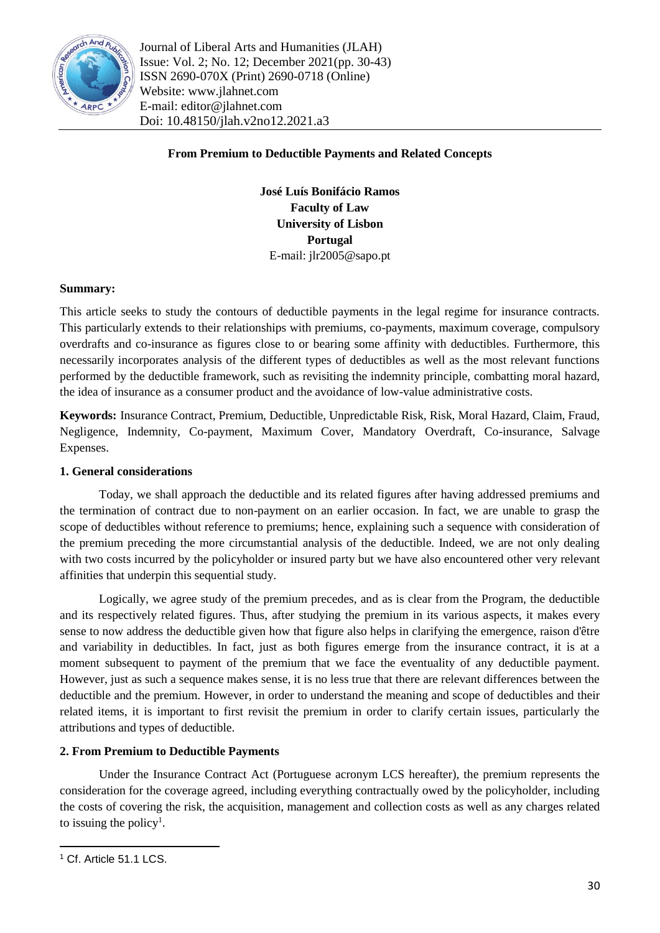

Journal of Liberal Arts and Humanities (JLAH) Issue: Vol. 2; No. 12; December 2021(pp. 30-43) ISSN 2690-070X (Print) 2690-0718 (Online) Website: www.jlahnet.com E-mail: editor@jlahnet.com Doi: 10.48150/jlah.v2no12.2021.a3

# **From Premium to Deductible Payments and Related Concepts**

**José Luís Bonifácio Ramos Faculty of Law University of Lisbon Portugal** E-mail: jlr2005@sapo.pt

## **Summary:**

This article seeks to study the contours of deductible payments in the legal regime for insurance contracts. This particularly extends to their relationships with premiums, co-payments, maximum coverage, compulsory overdrafts and co-insurance as figures close to or bearing some affinity with deductibles. Furthermore, this necessarily incorporates analysis of the different types of deductibles as well as the most relevant functions performed by the deductible framework, such as revisiting the indemnity principle, combatting moral hazard, the idea of insurance as a consumer product and the avoidance of low-value administrative costs.

**Keywords:** Insurance Contract, Premium, Deductible, Unpredictable Risk, Risk, Moral Hazard, Claim, Fraud, Negligence, Indemnity, Co-payment, Maximum Cover, Mandatory Overdraft, Co-insurance, Salvage Expenses.

### **1. General considerations**

Today, we shall approach the deductible and its related figures after having addressed premiums and the termination of contract due to non-payment on an earlier occasion. In fact, we are unable to grasp the scope of deductibles without reference to premiums; hence, explaining such a sequence with consideration of the premium preceding the more circumstantial analysis of the deductible. Indeed, we are not only dealing with two costs incurred by the policyholder or insured party but we have also encountered other very relevant affinities that underpin this sequential study.

Logically, we agree study of the premium precedes, and as is clear from the Program, the deductible and its respectively related figures. Thus, after studying the premium in its various aspects, it makes every sense to now address the deductible given how that figure also helps in clarifying the emergence, raison d'être and variability in deductibles. In fact, just as both figures emerge from the insurance contract, it is at a moment subsequent to payment of the premium that we face the eventuality of any deductible payment. However, just as such a sequence makes sense, it is no less true that there are relevant differences between the deductible and the premium. However, in order to understand the meaning and scope of deductibles and their related items, it is important to first revisit the premium in order to clarify certain issues, particularly the attributions and types of deductible.

## **2. From Premium to Deductible Payments**

Under the Insurance Contract Act (Portuguese acronym LCS hereafter), the premium represents the consideration for the coverage agreed, including everything contractually owed by the policyholder, including the costs of covering the risk, the acquisition, management and collection costs as well as any charges related to issuing the policy<sup>1</sup>.

**.** 

<sup>&</sup>lt;sup>1</sup> Cf. Article 51.1 LCS.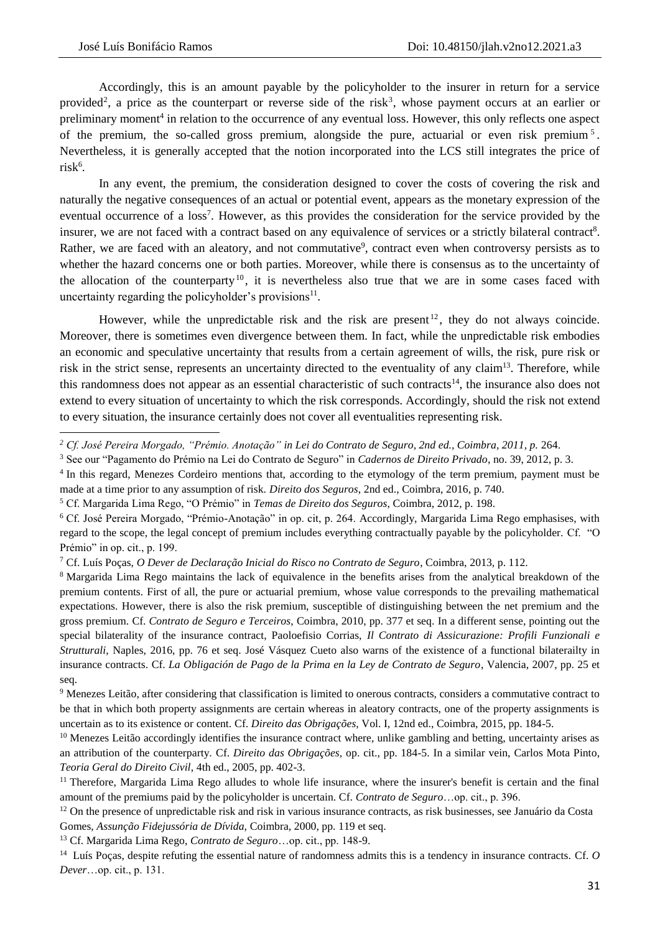1

Accordingly, this is an amount payable by the policyholder to the insurer in return for a service provided<sup>2</sup>, a price as the counterpart or reverse side of the risk<sup>3</sup>, whose payment occurs at an earlier or preliminary moment<sup>4</sup> in relation to the occurrence of any eventual loss. However, this only reflects one aspect of the premium, the so-called gross premium, alongside the pure, actuarial or even risk premium<sup>5</sup>. Nevertheless, it is generally accepted that the notion incorporated into the LCS still integrates the price of risk<sup>6</sup>.

In any event, the premium, the consideration designed to cover the costs of covering the risk and naturally the negative consequences of an actual or potential event, appears as the monetary expression of the eventual occurrence of a loss<sup>7</sup>. However, as this provides the consideration for the service provided by the insurer, we are not faced with a contract based on any equivalence of services or a strictly bilateral contract<sup>8</sup>. Rather, we are faced with an aleatory, and not commutative<sup>9</sup>, contract even when controversy persists as to whether the hazard concerns one or both parties. Moreover, while there is consensus as to the uncertainty of the allocation of the counterparty<sup>10</sup>, it is nevertheless also true that we are in some cases faced with uncertainty regarding the policyholder's provisions $^{11}$ .

However, while the unpredictable risk and the risk are present<sup>12</sup>, they do not always coincide. Moreover, there is sometimes even divergence between them. In fact, while the unpredictable risk embodies an economic and speculative uncertainty that results from a certain agreement of wills, the risk, pure risk or risk in the strict sense, represents an uncertainty directed to the eventuality of any claim<sup>13</sup>. Therefore, while this randomness does not appear as an essential characteristic of such contracts<sup>14</sup>, the insurance also does not extend to every situation of uncertainty to which the risk corresponds. Accordingly, should the risk not extend to every situation, the insurance certainly does not cover all eventualities representing risk.

<sup>13</sup> Cf. Margarida Lima Rego, *Contrato de Seguro*…op. cit., pp. 148-9.

*<sup>2</sup> Cf. José Pereira Morgado, "Prémio. Anotação" in Lei do Contrato de Seguro, 2nd ed., Coimbra, 2011, p.* 264.

<sup>3</sup> See our "Pagamento do Prémio na Lei do Contrato de Seguro" in *Cadernos de Direito Privado*, no. 39, 2012, p. 3.

<sup>&</sup>lt;sup>4</sup> In this regard, Menezes Cordeiro mentions that, according to the etymology of the term premium, payment must be made at a time prior to any assumption of risk. *Direito dos Seguros*, 2nd ed., Coimbra, 2016, p. 740.

<sup>5</sup> Cf. Margarida Lima Rego, "O Prémio" in *Temas de Direito dos Seguros*, Coimbra, 2012, p. 198.

<sup>6</sup> Cf. José Pereira Morgado, "Prémio-Anotação" in op. cit, p. 264. Accordingly, Margarida Lima Rego emphasises, with regard to the scope, the legal concept of premium includes everything contractually payable by the policyholder. Cf. "O Prémio" in op. cit., p. 199.

<sup>7</sup> Cf. Luís Poças, *O Dever de Declaração Inicial do Risco no Contrato de Seguro*, Coimbra, 2013, p. 112.

<sup>8</sup> Margarida Lima Rego maintains the lack of equivalence in the benefits arises from the analytical breakdown of the premium contents. First of all, the pure or actuarial premium, whose value corresponds to the prevailing mathematical expectations. However, there is also the risk premium, susceptible of distinguishing between the net premium and the gross premium. Cf. *Contrato de Seguro e Terceiros*, Coimbra, 2010, pp. 377 et seq. In a different sense, pointing out the special bilaterality of the insurance contract, Paoloefisio Corrias, *Il Contrato di Assicurazione: Profili Funzionali e Strutturali*, Naples, 2016, pp. 76 et seq. José Vásquez Cueto also warns of the existence of a functional bilaterailty in insurance contracts. Cf. *La Obligación de Pago de la Prima en la Ley de Contrato de Seguro*, Valencia, 2007, pp. 25 et seq.

<sup>9</sup> Menezes Leitão, after considering that classification is limited to onerous contracts, considers a commutative contract to be that in which both property assignments are certain whereas in aleatory contracts, one of the property assignments is uncertain as to its existence or content. Cf. *Direito das Obrigações,* Vol. I, 12nd ed., Coimbra, 2015, pp. 184-5.

<sup>&</sup>lt;sup>10</sup> Menezes Leitão accordingly identifies the insurance contract where, unlike gambling and betting, uncertainty arises as an attribution of the counterparty. Cf. *Direito das Obrigações,* op. cit., pp. 184-5. In a similar vein, Carlos Mota Pinto, *Teoria Geral do Direito Civil*, 4th ed., 2005, pp. 402-3.

<sup>&</sup>lt;sup>11</sup> Therefore, Margarida Lima Rego alludes to whole life insurance, where the insurer's benefit is certain and the final amount of the premiums paid by the policyholder is uncertain. Cf. *Contrato de Seguro*…op. cit., p. 396.

<sup>&</sup>lt;sup>12</sup> On the presence of unpredictable risk and risk in various insurance contracts, as risk businesses, see Januário da Costa Gomes, *Assunção Fidejussória de Dívida,* Coimbra, 2000, pp. 119 et seq.

<sup>14</sup> Luís Poças, despite refuting the essential nature of randomness admits this is a tendency in insurance contracts. Cf. *O Dever*…op. cit., p. 131.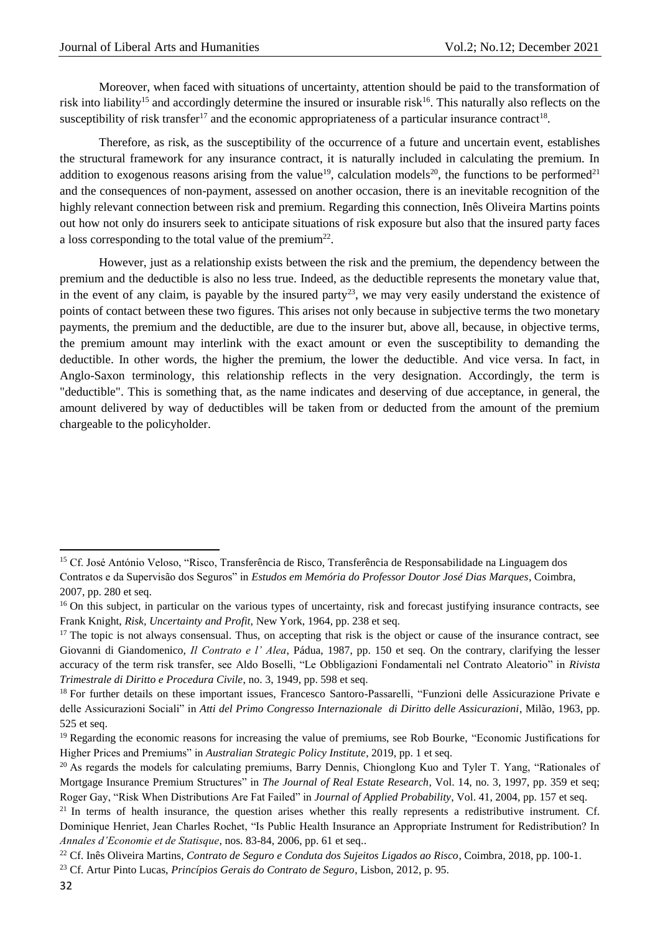Moreover, when faced with situations of uncertainty, attention should be paid to the transformation of risk into liability<sup>15</sup> and accordingly determine the insured or insurable risk<sup>16</sup>. This naturally also reflects on the susceptibility of risk transfer<sup>17</sup> and the economic appropriateness of a particular insurance contract<sup>18</sup>.

Therefore, as risk, as the susceptibility of the occurrence of a future and uncertain event, establishes the structural framework for any insurance contract, it is naturally included in calculating the premium. In addition to exogenous reasons arising from the value<sup>19</sup>, calculation models<sup>20</sup>, the functions to be performed<sup>21</sup> and the consequences of non-payment, assessed on another occasion, there is an inevitable recognition of the highly relevant connection between risk and premium. Regarding this connection, Inês Oliveira Martins points out how not only do insurers seek to anticipate situations of risk exposure but also that the insured party faces a loss corresponding to the total value of the premium<sup>22</sup>.

However, just as a relationship exists between the risk and the premium, the dependency between the premium and the deductible is also no less true. Indeed, as the deductible represents the monetary value that, in the event of any claim, is payable by the insured party<sup>23</sup>, we may very easily understand the existence of points of contact between these two figures. This arises not only because in subjective terms the two monetary payments, the premium and the deductible, are due to the insurer but, above all, because, in objective terms, the premium amount may interlink with the exact amount or even the susceptibility to demanding the deductible. In other words, the higher the premium, the lower the deductible. And vice versa. In fact, in Anglo-Saxon terminology, this relationship reflects in the very designation. Accordingly, the term is "deductible". This is something that, as the name indicates and deserving of due acceptance, in general, the amount delivered by way of deductibles will be taken from or deducted from the amount of the premium chargeable to the policyholder.

 $\overline{a}$ <sup>15</sup> Cf. José António Veloso, "Risco, Transferência de Risco, Transferência de Responsabilidade na Linguagem dos

Contratos e da Supervisão dos Seguros" in *Estudos em Memória do Professor Doutor José Dias Marques*, Coimbra, 2007, pp. 280 et seq.

<sup>&</sup>lt;sup>16</sup> On this subject, in particular on the various types of uncertainty, risk and forecast justifying insurance contracts, see Frank Knight, *Risk, Uncertainty and Profit,* New York, 1964, pp. 238 et seq.

<sup>&</sup>lt;sup>17</sup> The topic is not always consensual. Thus, on accepting that risk is the object or cause of the insurance contract, see Giovanni di Giandomenico, *Il Contrato e l' Alea*, Pádua, 1987, pp. 150 et seq. On the contrary, clarifying the lesser accuracy of the term risk transfer, see Aldo Boselli, "Le Obbligazioni Fondamentali nel Contrato Aleatorio" in *Rivista Trimestrale di Diritto e Procedura Civile*, no. 3, 1949, pp. 598 et seq.

<sup>&</sup>lt;sup>18</sup> For further details on these important issues, Francesco Santoro-Passarelli, "Funzioni delle Assicurazione Private e delle Assicurazioni Sociali" in *Atti del Primo Congresso Internazionale di Diritto delle Assicurazioni*, Milão, 1963, pp. 525 et seq.

<sup>&</sup>lt;sup>19</sup> Regarding the economic reasons for increasing the value of premiums, see Rob Bourke, "Economic Justifications for Higher Prices and Premiums" in *Australian Strategic Policy Institute*, 2019, pp. 1 et seq.

<sup>&</sup>lt;sup>20</sup> As regards the models for calculating premiums, Barry Dennis, Chionglong Kuo and Tyler T. Yang, "Rationales of Mortgage Insurance Premium Structures" in *The Journal of Real Estate Research*, Vol. 14, no. 3, 1997, pp. 359 et seq; Roger Gay, "Risk When Distributions Are Fat Failed" in *Journal of Applied Probability*, Vol. 41, 2004, pp. 157 et seq.

 $21$  In terms of health insurance, the question arises whether this really represents a redistributive instrument. Cf. Dominique Henriet, Jean Charles Rochet, "Is Public Health Insurance an Appropriate Instrument for Redistribution? In *Annales d'Economie et de Statisque*, nos. 83-84, 2006, pp. 61 et seq..

<sup>22</sup> Cf. Inês Oliveira Martins, *Contrato de Seguro e Conduta dos Sujeitos Ligados ao Risco*, Coimbra, 2018, pp. 100-1.

<sup>23</sup> Cf. Artur Pinto Lucas, *Princípios Gerais do Contrato de Seguro*, Lisbon, 2012, p. 95.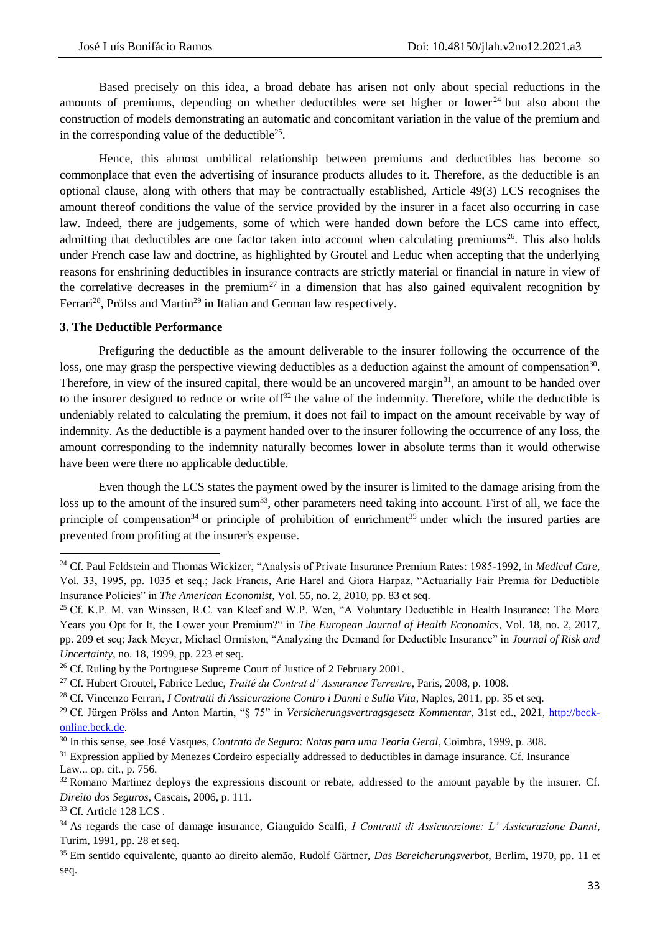Based precisely on this idea, a broad debate has arisen not only about special reductions in the amounts of premiums, depending on whether deductibles were set higher or lower<sup>24</sup> but also about the construction of models demonstrating an automatic and concomitant variation in the value of the premium and in the corresponding value of the deductible<sup>25</sup>.

Hence, this almost umbilical relationship between premiums and deductibles has become so commonplace that even the advertising of insurance products alludes to it. Therefore, as the deductible is an optional clause, along with others that may be contractually established, Article 49(3) LCS recognises the amount thereof conditions the value of the service provided by the insurer in a facet also occurring in case law. Indeed, there are judgements, some of which were handed down before the LCS came into effect, admitting that deductibles are one factor taken into account when calculating premiums<sup>26</sup>. This also holds under French case law and doctrine, as highlighted by Groutel and Leduc when accepting that the underlying reasons for enshrining deductibles in insurance contracts are strictly material or financial in nature in view of the correlative decreases in the premium<sup>27</sup> in a dimension that has also gained equivalent recognition by Ferrari<sup>28</sup>, Prölss and Martin<sup>29</sup> in Italian and German law respectively.

### **3. The Deductible Performance**

Prefiguring the deductible as the amount deliverable to the insurer following the occurrence of the loss, one may grasp the perspective viewing deductibles as a deduction against the amount of compensation<sup>30</sup>. Therefore, in view of the insured capital, there would be an uncovered margin $31$ , an amount to be handed over to the insurer designed to reduce or write off<sup>32</sup> the value of the indemnity. Therefore, while the deductible is undeniably related to calculating the premium, it does not fail to impact on the amount receivable by way of indemnity. As the deductible is a payment handed over to the insurer following the occurrence of any loss, the amount corresponding to the indemnity naturally becomes lower in absolute terms than it would otherwise have been were there no applicable deductible.

Even though the LCS states the payment owed by the insurer is limited to the damage arising from the loss up to the amount of the insured sum<sup>33</sup>, other parameters need taking into account. First of all, we face the principle of compensation<sup>34</sup> or principle of prohibition of enrichment<sup>35</sup> under which the insured parties are prevented from profiting at the insurer's expense.

 $\overline{a}$ 

<sup>24</sup> Cf. Paul Feldstein and Thomas Wickizer, "Analysis of Private Insurance Premium Rates: 1985-1992, in *Medical Care*, Vol. 33, 1995, pp. 1035 et seq.; Jack Francis, Arie Harel and Giora Harpaz, "Actuarially Fair Premia for Deductible Insurance Policies" in *The American Economist*, Vol. 55, no. 2, 2010, pp. 83 et seq.

<sup>&</sup>lt;sup>25</sup> Cf. K.P. M. van Winssen, R.C. van Kleef and W.P. Wen, "A Voluntary Deductible in Health Insurance: The More Years you Opt for It, the Lower your Premium?" in *The European Journal of Health Economics*, Vol. 18, no. 2, 2017, pp. 209 et seq; Jack Meyer, Michael Ormiston, "Analyzing the Demand for Deductible Insurance" in *Journal of Risk and Uncertainty*, no. 18, 1999, pp. 223 et seq.

<sup>&</sup>lt;sup>26</sup> Cf. Ruling by the Portuguese Supreme Court of Justice of 2 February 2001.

<sup>27</sup> Cf. Hubert Groutel, Fabrice Leduc, *Traité du Contrat d' Assurance Terrestre*, Paris, 2008, p. 1008.

<sup>28</sup> Cf. Vincenzo Ferrari, *I Contratti di Assicurazione Contro i Danni e Sulla Vita*, Naples, 2011, pp. 35 et seq.

<sup>29</sup> Cf. Jürgen Prölss and Anton Martin, "§ 75" in *Versicherungsvertragsgesetz Kommentar*, 31st ed., 2021, [http://beck](http://beck-online.beck.de/)[online.beck.de.](http://beck-online.beck.de/)

<sup>30</sup> In this sense, see José Vasques*, Contrato de Seguro: Notas para uma Teoria Geral*, Coimbra, 1999, p. 308.

<sup>&</sup>lt;sup>31</sup> Expression applied by Menezes Cordeiro especially addressed to deductibles in damage insurance. Cf. Insurance Law... op. cit., p. 756.

<sup>&</sup>lt;sup>32</sup> Romano Martinez deploys the expressions discount or rebate, addressed to the amount payable by the insurer. Cf. *Direito dos Seguros*, Cascais, 2006, p. 111.

<sup>&</sup>lt;sup>33</sup> Cf. Article 128 LCS.

<sup>34</sup> As regards the case of damage insurance, Gianguido Scalfi, *I Contratti di Assicurazione: L' Assicurazione Danni*, Turim, 1991, pp. 28 et seq.

<sup>35</sup> Em sentido equivalente, quanto ao direito alemão, Rudolf Gärtner, *Das Bereicherungsverbot*, Berlim, 1970, pp. 11 et seq.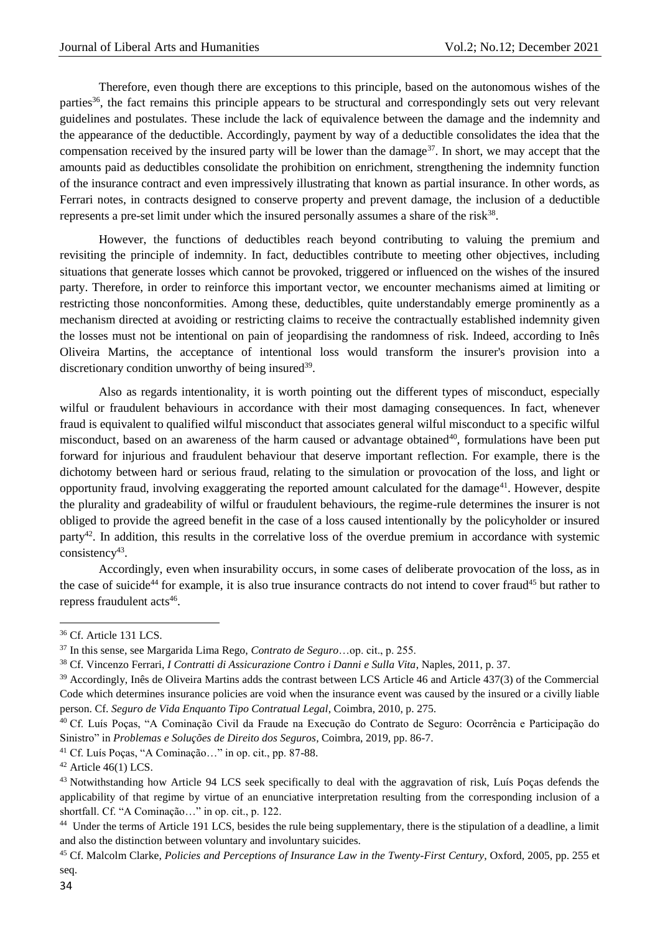Therefore, even though there are exceptions to this principle, based on the autonomous wishes of the parties<sup>36</sup>, the fact remains this principle appears to be structural and correspondingly sets out very relevant guidelines and postulates. These include the lack of equivalence between the damage and the indemnity and the appearance of the deductible. Accordingly, payment by way of a deductible consolidates the idea that the compensation received by the insured party will be lower than the damage<sup>37</sup>. In short, we may accept that the amounts paid as deductibles consolidate the prohibition on enrichment, strengthening the indemnity function of the insurance contract and even impressively illustrating that known as partial insurance. In other words, as Ferrari notes, in contracts designed to conserve property and prevent damage, the inclusion of a deductible represents a pre-set limit under which the insured personally assumes a share of the risk $38$ .

However, the functions of deductibles reach beyond contributing to valuing the premium and revisiting the principle of indemnity. In fact, deductibles contribute to meeting other objectives, including situations that generate losses which cannot be provoked, triggered or influenced on the wishes of the insured party. Therefore, in order to reinforce this important vector, we encounter mechanisms aimed at limiting or restricting those nonconformities. Among these, deductibles, quite understandably emerge prominently as a mechanism directed at avoiding or restricting claims to receive the contractually established indemnity given the losses must not be intentional on pain of jeopardising the randomness of risk. Indeed, according to Inês Oliveira Martins, the acceptance of intentional loss would transform the insurer's provision into a discretionary condition unworthy of being insured<sup>39</sup>.

Also as regards intentionality, it is worth pointing out the different types of misconduct, especially wilful or fraudulent behaviours in accordance with their most damaging consequences. In fact, whenever fraud is equivalent to qualified wilful misconduct that associates general wilful misconduct to a specific wilful misconduct, based on an awareness of the harm caused or advantage obtained<sup>40</sup>, formulations have been put forward for injurious and fraudulent behaviour that deserve important reflection. For example, there is the dichotomy between hard or serious fraud, relating to the simulation or provocation of the loss, and light or opportunity fraud, involving exaggerating the reported amount calculated for the damage<sup>41</sup>. However, despite the plurality and gradeability of wilful or fraudulent behaviours, the regime-rule determines the insurer is not obliged to provide the agreed benefit in the case of a loss caused intentionally by the policyholder or insured party<sup>42</sup>. In addition, this results in the correlative loss of the overdue premium in accordance with systemic  $consistency<sup>43</sup>$ .

Accordingly, even when insurability occurs, in some cases of deliberate provocation of the loss, as in the case of suicide<sup>44</sup> for example, it is also true insurance contracts do not intend to cover fraud<sup>45</sup> but rather to repress fraudulent acts<sup>46</sup>.

**.** 

<sup>41</sup> Cf. Luís Poças, "A Cominação…" in op. cit., pp. 87-88.

<sup>36</sup> Cf. Article 131 LCS.

<sup>37</sup> In this sense, see Margarida Lima Rego, *Contrato de Seguro*…op. cit., p. 255.

<sup>38</sup> Cf. Vincenzo Ferrari, *I Contratti di Assicurazione Contro i Danni e Sulla Vita*, Naples, 2011, p. 37.

<sup>39</sup> Accordingly, Inês de Oliveira Martins adds the contrast between LCS Article 46 and Article 437(3) of the Commercial Code which determines insurance policies are void when the insurance event was caused by the insured or a civilly liable person. Cf. *Seguro de Vida Enquanto Tipo Contratual Legal*, Coimbra, 2010, p. 275.

<sup>40</sup> Cf. Luís Poças, "A Cominação Civil da Fraude na Execução do Contrato de Seguro: Ocorrência e Participação do Sinistro" in *Problemas e Soluções de Direito dos Seguros*, Coimbra, 2019, pp. 86-7.

 $42$  Article 46(1) LCS.

<sup>&</sup>lt;sup>43</sup> Notwithstanding how Article 94 LCS seek specifically to deal with the aggravation of risk, Luís Poças defends the applicability of that regime by virtue of an enunciative interpretation resulting from the corresponding inclusion of a shortfall. Cf. "A Cominação…" in op. cit., p. 122.

<sup>&</sup>lt;sup>44</sup> Under the terms of Article 191 LCS, besides the rule being supplementary, there is the stipulation of a deadline, a limit and also the distinction between voluntary and involuntary suicides.

<sup>45</sup> Cf. Malcolm Clarke, *Policies and Perceptions of Insurance Law in the Twenty-First Century*, Oxford, 2005, pp. 255 et seq.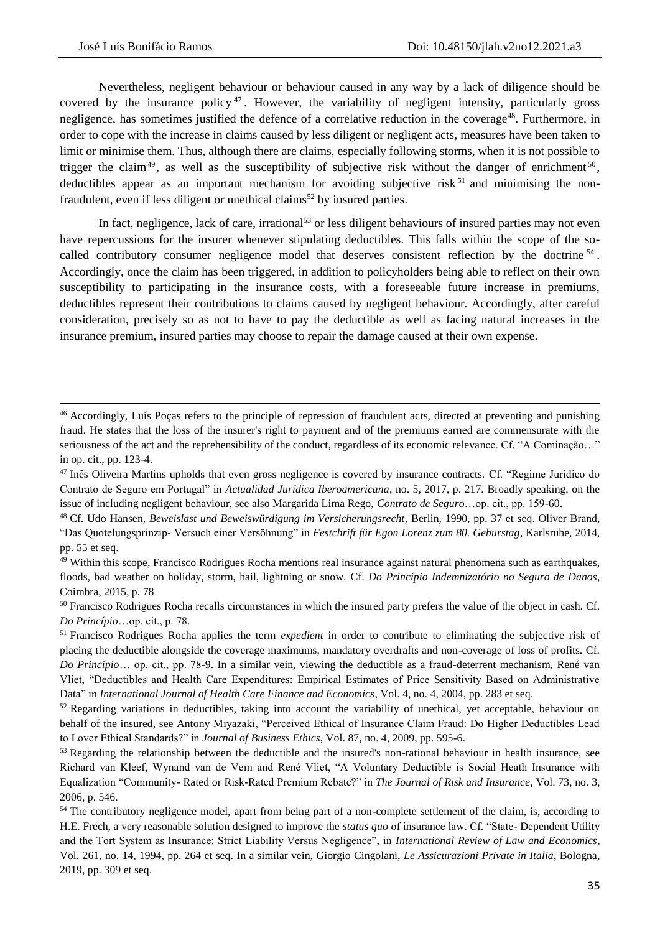**.** 

Nevertheless, negligent behaviour or behaviour caused in any way by a lack of diligence should be covered by the insurance policy <sup>47</sup> . However, the variability of negligent intensity, particularly gross negligence, has sometimes justified the defence of a correlative reduction in the coverage<sup>48</sup>. Furthermore, in order to cope with the increase in claims caused by less diligent or negligent acts, measures have been taken to limit or minimise them. Thus, although there are claims, especially following storms, when it is not possible to trigger the claim<sup>49</sup>, as well as the susceptibility of subjective risk without the danger of enrichment<sup>50</sup>, deductibles appear as an important mechanism for avoiding subjective risk  $51$  and minimising the nonfraudulent, even if less diligent or unethical claims<sup>52</sup> by insured parties.

In fact, negligence, lack of care, irrational<sup>53</sup> or less diligent behaviours of insured parties may not even have repercussions for the insurer whenever stipulating deductibles. This falls within the scope of the socalled contributory consumer negligence model that deserves consistent reflection by the doctrine <sup>54</sup>. Accordingly, once the claim has been triggered, in addition to policyholders being able to reflect on their own susceptibility to participating in the insurance costs, with a foreseeable future increase in premiums, deductibles represent their contributions to claims caused by negligent behaviour. Accordingly, after careful consideration, precisely so as not to have to pay the deductible as well as facing natural increases in the insurance premium, insured parties may choose to repair the damage caused at their own expense.

<sup>46</sup> Accordingly, Luís Poças refers to the principle of repression of fraudulent acts, directed at preventing and punishing fraud. He states that the loss of the insurer's right to payment and of the premiums earned are commensurate with the seriousness of the act and the reprehensibility of the conduct, regardless of its economic relevance. Cf. "A Cominação..." in op. cit., pp. 123-4.

<sup>&</sup>lt;sup>47</sup> Inês Oliveira Martins upholds that even gross negligence is covered by insurance contracts. Cf. "Regime Jurídico do Contrato de Seguro em Portugal" in *Actualidad Jurídica Iberoamericana*, no. 5, 2017, p. 217. Broadly speaking, on the issue of including negligent behaviour, see also Margarida Lima Rego, *Contrato de Seguro*…op. cit., pp. 159-60.

<sup>48</sup> Cf. Udo Hansen, *Beweislast und Beweiswürdigung im Versicherungsrecht*, Berlin, 1990, pp. 37 et seq. Oliver Brand, "Das Quotelungsprinzip- Versuch einer Versöhnung" in *Festchrift für Egon Lorenz zum 80. Geburstag*, Karlsruhe, 2014, pp. 55 et seq.

<sup>49</sup> Within this scope, Francisco Rodrigues Rocha mentions real insurance against natural phenomena such as earthquakes, floods, bad weather on holiday, storm, hail, lightning or snow. Cf. *Do Princípio Indemnizatório no Seguro de Danos*, Coimbra, 2015, p. 78

<sup>&</sup>lt;sup>50</sup> Francisco Rodrigues Rocha recalls circumstances in which the insured party prefers the value of the object in cash. Cf. *Do Princípio*…op. cit., p. 78.

<sup>51</sup> Francisco Rodrigues Rocha applies the term *expedient* in order to contribute to eliminating the subjective risk of placing the deductible alongside the coverage maximums, mandatory overdrafts and non-coverage of loss of profits. Cf. *Do Princípio*… op. cit., pp. 78-9. In a similar vein, viewing the deductible as a fraud-deterrent mechanism, René van Vliet, "Deductibles and Health Care Expenditures: Empirical Estimates of Price Sensitivity Based on Administrative Data" in *International Journal of Health Care Finance and Economics*, Vol. 4, no. 4, 2004, pp. 283 et seq.

<sup>&</sup>lt;sup>52</sup> Regarding variations in deductibles, taking into account the variability of unethical, yet acceptable, behaviour on behalf of the insured, see Antony Miyazaki, "Perceived Ethical of Insurance Claim Fraud: Do Higher Deductibles Lead to Lover Ethical Standards?" in *Journal of Business Ethics*, Vol. 87, no. 4, 2009, pp. 595-6.

<sup>&</sup>lt;sup>53</sup> Regarding the relationship between the deductible and the insured's non-rational behaviour in health insurance, see Richard van Kleef, Wynand van de Vem and René Vliet, "A Voluntary Deductible is Social Heath Insurance with Equalization "Community- Rated or Risk-Rated Premium Rebate?" in *The Journal of Risk and Insurance*, Vol. 73, no. 3, 2006, p. 546.

<sup>&</sup>lt;sup>54</sup> The contributory negligence model, apart from being part of a non-complete settlement of the claim, is, according to H.E. Frech, a very reasonable solution designed to improve the *status quo* of insurance law. Cf. "State- Dependent Utility and the Tort System as Insurance: Strict Liability Versus Negligence", in *International Review of Law and Economics*, Vol. 261, no. 14, 1994, pp. 264 et seq. In a similar vein, Giorgio Cingolani, *Le Assicurazioni Private in Italia*, Bologna, 2019, pp. 309 et seq.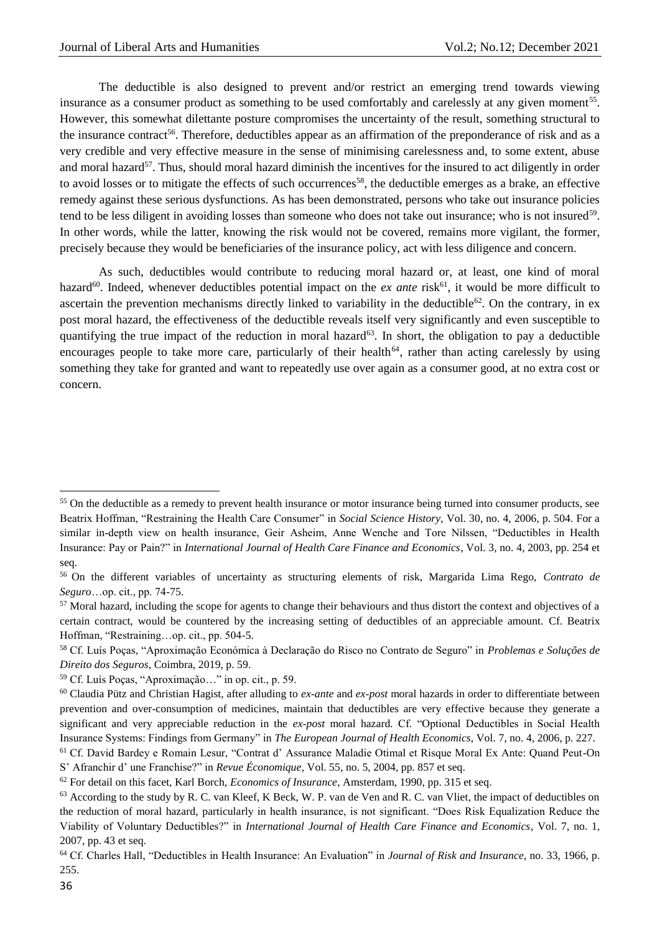The deductible is also designed to prevent and/or restrict an emerging trend towards viewing insurance as a consumer product as something to be used comfortably and carelessly at any given moment<sup>55</sup>. However, this somewhat dilettante posture compromises the uncertainty of the result, something structural to the insurance contract<sup>56</sup>. Therefore, deductibles appear as an affirmation of the preponderance of risk and as a very credible and very effective measure in the sense of minimising carelessness and, to some extent, abuse and moral hazard<sup>57</sup>. Thus, should moral hazard diminish the incentives for the insured to act diligently in order to avoid losses or to mitigate the effects of such occurrences<sup>58</sup>, the deductible emerges as a brake, an effective remedy against these serious dysfunctions. As has been demonstrated, persons who take out insurance policies tend to be less diligent in avoiding losses than someone who does not take out insurance; who is not insured<sup>59</sup>. In other words, while the latter, knowing the risk would not be covered, remains more vigilant, the former, precisely because they would be beneficiaries of the insurance policy, act with less diligence and concern.

As such, deductibles would contribute to reducing moral hazard or, at least, one kind of moral hazard<sup>60</sup>. Indeed, whenever deductibles potential impact on the *ex ante* risk<sup>61</sup>, it would be more difficult to ascertain the prevention mechanisms directly linked to variability in the deductible<sup>62</sup>. On the contrary, in ex post moral hazard, the effectiveness of the deductible reveals itself very significantly and even susceptible to quantifying the true impact of the reduction in moral hazard $63$ . In short, the obligation to pay a deductible encourages people to take more care, particularly of their health<sup>64</sup>, rather than acting carelessly by using something they take for granted and want to repeatedly use over again as a consumer good, at no extra cost or concern.

1

<sup>&</sup>lt;sup>55</sup> On the deductible as a remedy to prevent health insurance or motor insurance being turned into consumer products, see Beatrix Hoffman, "Restraining the Health Care Consumer" in *Social Science History*, Vol. 30, no. 4, 2006, p. 504. For a similar in-depth view on health insurance, Geir Asheim, Anne Wenche and Tore Nilssen, "Deductibles in Health Insurance: Pay or Pain?" in *International Journal of Health Care Finance and Economics*, Vol. 3, no. 4, 2003, pp. 254 et seq.

<sup>56</sup> On the different variables of uncertainty as structuring elements of risk, Margarida Lima Rego, *Contrato de Seguro*…op. cit., pp. 74-75.

<sup>&</sup>lt;sup>57</sup> Moral hazard, including the scope for agents to change their behaviours and thus distort the context and objectives of a certain contract, would be countered by the increasing setting of deductibles of an appreciable amount. Cf. Beatrix Hoffman, "Restraining…op. cit., pp. 504-5.

<sup>58</sup> Cf. Luís Poças, "Aproximação Económica à Declaração do Risco no Contrato de Seguro" in *Problemas e Soluções de Direito dos Seguros*, Coimbra, 2019, p. 59.

<sup>59</sup> Cf. Luís Poças, "Aproximação…" in op. cit., p. 59.

<sup>60</sup> Claudia Pütz and Christian Hagist, after alluding to *ex-ante* and *ex-post* moral hazards in order to differentiate between prevention and over-consumption of medicines, maintain that deductibles are very effective because they generate a significant and very appreciable reduction in the *ex-post* moral hazard*.* Cf. "Optional Deductibles in Social Health Insurance Systems: Findings from Germany" in *The European Journal of Health Economics*, Vol. 7, no. 4, 2006, p. 227.

<sup>61</sup> Cf. David Bardey e Romain Lesur, "Contrat d' Assurance Maladie Otimal et Risque Moral Ex Ante: Quand Peut-On S' Afranchir d' une Franchise?" in *Revue Économique*, Vol. 55, no. 5, 2004, pp. 857 et seq.

<sup>62</sup> For detail on this facet, Karl Borch, *Economics of Insurance*, Amsterdam, 1990, pp. 315 et seq.

 $<sup>63</sup>$  According to the study by R. C. van Kleef, K Beck, W. P. van de Ven and R. C. van Vliet, the impact of deductibles on</sup> the reduction of moral hazard, particularly in health insurance, is not significant. "Does Risk Equalization Reduce the Viability of Voluntary Deductibles?" in *International Journal of Health Care Finance and Economics*, Vol. 7, no. 1, 2007, pp. 43 et seq.

<sup>64</sup> Cf. Charles Hall, "Deductibles in Health Insurance: An Evaluation" in *Journal of Risk and Insurance*, no. 33, 1966, p. 255.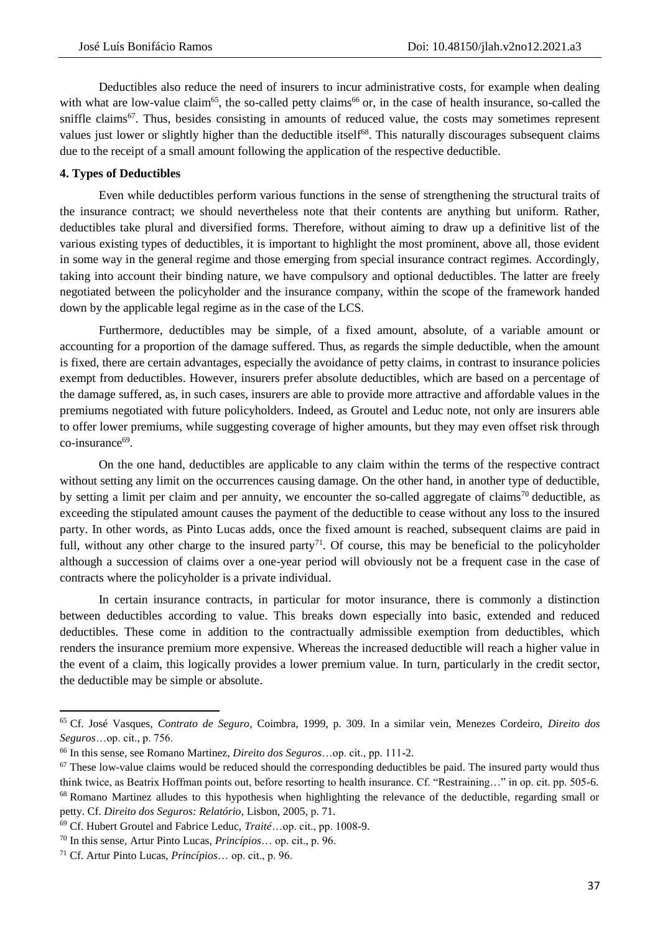Deductibles also reduce the need of insurers to incur administrative costs, for example when dealing with what are low-value claim<sup>65</sup>, the so-called petty claims<sup>66</sup> or, in the case of health insurance, so-called the sniffle claims<sup>67</sup>. Thus, besides consisting in amounts of reduced value, the costs may sometimes represent values just lower or slightly higher than the deductible itself<sup>68</sup>. This naturally discourages subsequent claims due to the receipt of a small amount following the application of the respective deductible.

#### **4. Types of Deductibles**

Even while deductibles perform various functions in the sense of strengthening the structural traits of the insurance contract; we should nevertheless note that their contents are anything but uniform. Rather, deductibles take plural and diversified forms. Therefore, without aiming to draw up a definitive list of the various existing types of deductibles, it is important to highlight the most prominent, above all, those evident in some way in the general regime and those emerging from special insurance contract regimes. Accordingly, taking into account their binding nature, we have compulsory and optional deductibles. The latter are freely negotiated between the policyholder and the insurance company, within the scope of the framework handed down by the applicable legal regime as in the case of the LCS.

Furthermore, deductibles may be simple, of a fixed amount, absolute, of a variable amount or accounting for a proportion of the damage suffered. Thus, as regards the simple deductible, when the amount is fixed, there are certain advantages, especially the avoidance of petty claims, in contrast to insurance policies exempt from deductibles. However, insurers prefer absolute deductibles, which are based on a percentage of the damage suffered, as, in such cases, insurers are able to provide more attractive and affordable values in the premiums negotiated with future policyholders. Indeed, as Groutel and Leduc note, not only are insurers able to offer lower premiums, while suggesting coverage of higher amounts, but they may even offset risk through co-insurance<sup>69</sup>.

On the one hand, deductibles are applicable to any claim within the terms of the respective contract without setting any limit on the occurrences causing damage. On the other hand, in another type of deductible, by setting a limit per claim and per annuity, we encounter the so-called aggregate of claims<sup>70</sup> deductible, as exceeding the stipulated amount causes the payment of the deductible to cease without any loss to the insured party. In other words, as Pinto Lucas adds, once the fixed amount is reached, subsequent claims are paid in full, without any other charge to the insured party<sup>71</sup>. Of course, this may be beneficial to the policyholder although a succession of claims over a one-year period will obviously not be a frequent case in the case of contracts where the policyholder is a private individual.

In certain insurance contracts, in particular for motor insurance, there is commonly a distinction between deductibles according to value. This breaks down especially into basic, extended and reduced deductibles. These come in addition to the contractually admissible exemption from deductibles, which renders the insurance premium more expensive. Whereas the increased deductible will reach a higher value in the event of a claim, this logically provides a lower premium value. In turn, particularly in the credit sector, the deductible may be simple or absolute.

 $\overline{a}$ 

<sup>65</sup> Cf. José Vasques, *Contrato de Seguro*, Coimbra, 1999, p. 309. In a similar vein, Menezes Cordeiro, *Direito dos Seguros*…op. cit., p. 756.

<sup>66</sup> In this sense, see Romano Martinez, *Direito dos Seguros*…op. cit., pp. 111-2.

 $67$  These low-value claims would be reduced should the corresponding deductibles be paid. The insured party would thus think twice, as Beatrix Hoffman points out, before resorting to health insurance. Cf. "Restraining…" in op. cit. pp. 505-6. <sup>68</sup> Romano Martinez alludes to this hypothesis when highlighting the relevance of the deductible, regarding small or petty. Cf. *Direito dos Seguros: Relatório*, Lisbon, 2005, p. 71.

<sup>69</sup> Cf. Hubert Groutel and Fabrice Leduc, *Traité*…op. cit., pp. 1008-9.

<sup>70</sup> In this sense, Artur Pinto Lucas, *Princípios*… op. cit., p. 96.

<sup>71</sup> Cf. Artur Pinto Lucas, *Princípios*… op. cit., p. 96.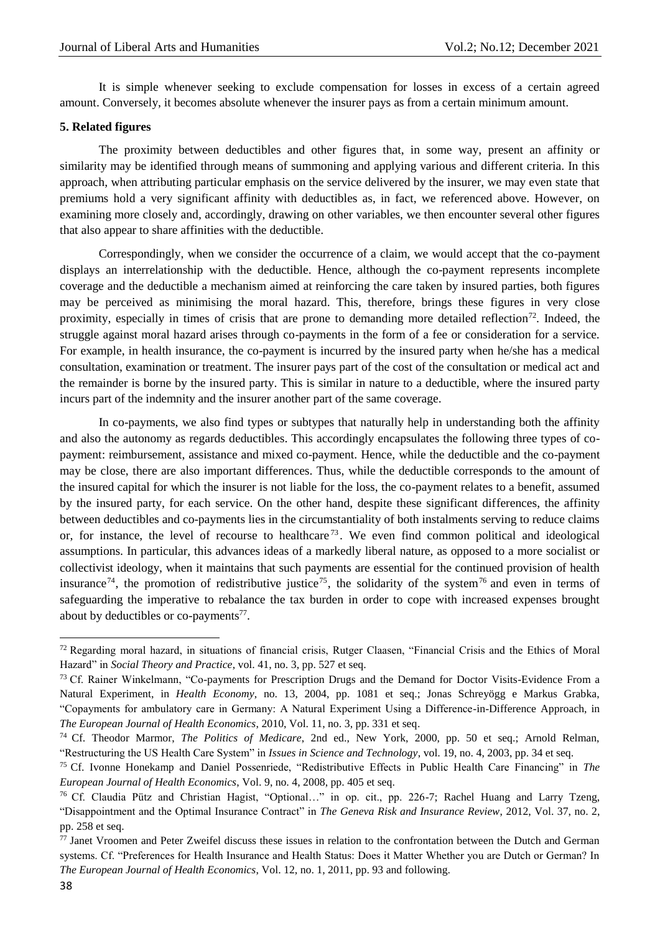It is simple whenever seeking to exclude compensation for losses in excess of a certain agreed amount. Conversely, it becomes absolute whenever the insurer pays as from a certain minimum amount.

#### **5. Related figures**

The proximity between deductibles and other figures that, in some way, present an affinity or similarity may be identified through means of summoning and applying various and different criteria. In this approach, when attributing particular emphasis on the service delivered by the insurer, we may even state that premiums hold a very significant affinity with deductibles as, in fact, we referenced above. However, on examining more closely and, accordingly, drawing on other variables, we then encounter several other figures that also appear to share affinities with the deductible.

Correspondingly, when we consider the occurrence of a claim, we would accept that the co-payment displays an interrelationship with the deductible. Hence, although the co-payment represents incomplete coverage and the deductible a mechanism aimed at reinforcing the care taken by insured parties, both figures may be perceived as minimising the moral hazard. This, therefore, brings these figures in very close proximity, especially in times of crisis that are prone to demanding more detailed reflection<sup>72</sup>. Indeed, the struggle against moral hazard arises through co-payments in the form of a fee or consideration for a service. For example, in health insurance, the co-payment is incurred by the insured party when he/she has a medical consultation, examination or treatment. The insurer pays part of the cost of the consultation or medical act and the remainder is borne by the insured party. This is similar in nature to a deductible, where the insured party incurs part of the indemnity and the insurer another part of the same coverage.

In co-payments, we also find types or subtypes that naturally help in understanding both the affinity and also the autonomy as regards deductibles. This accordingly encapsulates the following three types of copayment: reimbursement, assistance and mixed co-payment. Hence, while the deductible and the co-payment may be close, there are also important differences. Thus, while the deductible corresponds to the amount of the insured capital for which the insurer is not liable for the loss, the co-payment relates to a benefit, assumed by the insured party, for each service. On the other hand, despite these significant differences, the affinity between deductibles and co-payments lies in the circumstantiality of both instalments serving to reduce claims or, for instance, the level of recourse to healthcare<sup>73</sup>. We even find common political and ideological assumptions. In particular, this advances ideas of a markedly liberal nature, as opposed to a more socialist or collectivist ideology, when it maintains that such payments are essential for the continued provision of health insurance<sup>74</sup>, the promotion of redistributive justice<sup>75</sup>, the solidarity of the system<sup>76</sup> and even in terms of safeguarding the imperative to rebalance the tax burden in order to cope with increased expenses brought about by deductibles or co-payments<sup>77</sup>.

1

 $72$  Regarding moral hazard, in situations of financial crisis, Rutger Claasen, "Financial Crisis and the Ethics of Moral Hazard" in *Social Theory and Practice*, vol. 41, no. 3, pp. 527 et seq.

<sup>&</sup>lt;sup>73</sup> Cf. Rainer Winkelmann, "Co-payments for Prescription Drugs and the Demand for Doctor Visits-Evidence From a Natural Experiment, in *Health Economy*, no. 13, 2004, pp. 1081 et seq.; Jonas Schreyögg e Markus Grabka, "Copayments for ambulatory care in Germany: A Natural Experiment Using a Difference-in-Difference Approach, in *The European Journal of Health Economics*, 2010, Vol. 11, no. 3, pp. 331 et seq.

<sup>74</sup> Cf. Theodor Marmor, *The Politics of Medicare*, 2nd ed., New York, 2000, pp. 50 et seq.; Arnold Relman, "Restructuring the US Health Care System" in *Issues in Science and Technology*, vol. 19, no. 4, 2003, pp. 34 et seq.

<sup>75</sup> Cf. Ivonne Honekamp and Daniel Possenriede, "Redistributive Effects in Public Health Care Financing" in *The European Journal of Health Economics*, Vol. 9, no. 4, 2008, pp. 405 et seq.

<sup>76</sup> Cf. Claudia Pütz and Christian Hagist, "Optional…" in op. cit., pp. 226-7; Rachel Huang and Larry Tzeng, "Disappointment and the Optimal Insurance Contract" in *The Geneva Risk and Insurance Review*, 2012, Vol. 37, no. 2, pp. 258 et seq.

<sup>77</sup> Janet Vroomen and Peter Zweifel discuss these issues in relation to the confrontation between the Dutch and German systems. Cf. "Preferences for Health Insurance and Health Status: Does it Matter Whether you are Dutch or German? In *The European Journal of Health Economics*, Vol. 12, no. 1, 2011, pp. 93 and following.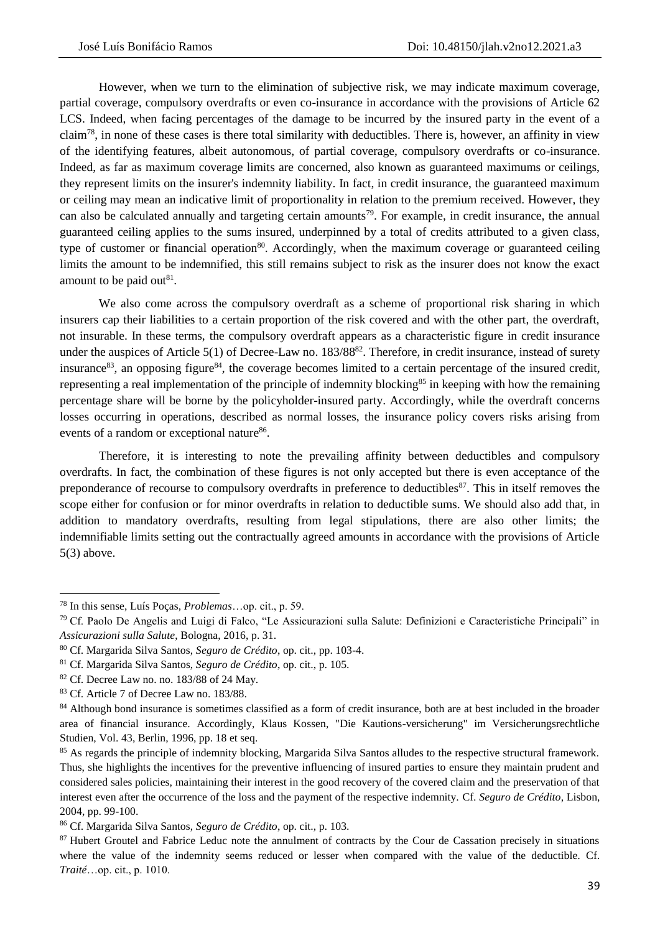However, when we turn to the elimination of subjective risk, we may indicate maximum coverage, partial coverage, compulsory overdrafts or even co-insurance in accordance with the provisions of Article 62 LCS. Indeed, when facing percentages of the damage to be incurred by the insured party in the event of a claim<sup>78</sup>, in none of these cases is there total similarity with deductibles. There is, however, an affinity in view of the identifying features, albeit autonomous, of partial coverage, compulsory overdrafts or co-insurance. Indeed, as far as maximum coverage limits are concerned, also known as guaranteed maximums or ceilings, they represent limits on the insurer's indemnity liability. In fact, in credit insurance, the guaranteed maximum or ceiling may mean an indicative limit of proportionality in relation to the premium received. However, they can also be calculated annually and targeting certain amounts<sup>79</sup>. For example, in credit insurance, the annual guaranteed ceiling applies to the sums insured, underpinned by a total of credits attributed to a given class, type of customer or financial operation<sup>80</sup>. Accordingly, when the maximum coverage or guaranteed ceiling limits the amount to be indemnified, this still remains subject to risk as the insurer does not know the exact amount to be paid out $81$ .

We also come across the compulsory overdraft as a scheme of proportional risk sharing in which insurers cap their liabilities to a certain proportion of the risk covered and with the other part, the overdraft, not insurable. In these terms, the compulsory overdraft appears as a characteristic figure in credit insurance under the auspices of Article 5(1) of Decree-Law no. 183/88<sup>82</sup>. Therefore, in credit insurance, instead of surety insurance<sup>83</sup>, an opposing figure<sup>84</sup>, the coverage becomes limited to a certain percentage of the insured credit, representing a real implementation of the principle of indemnity blocking<sup>85</sup> in keeping with how the remaining percentage share will be borne by the policyholder-insured party. Accordingly, while the overdraft concerns losses occurring in operations, described as normal losses, the insurance policy covers risks arising from events of a random or exceptional nature<sup>86</sup>.

Therefore, it is interesting to note the prevailing affinity between deductibles and compulsory overdrafts. In fact, the combination of these figures is not only accepted but there is even acceptance of the preponderance of recourse to compulsory overdrafts in preference to deductibles<sup>87</sup>. This in itself removes the scope either for confusion or for minor overdrafts in relation to deductible sums. We should also add that, in addition to mandatory overdrafts, resulting from legal stipulations, there are also other limits; the indemnifiable limits setting out the contractually agreed amounts in accordance with the provisions of Article 5(3) above.

1

<sup>78</sup> In this sense, Luís Poças, *Problemas*…op. cit., p. 59.

<sup>79</sup> Cf. Paolo De Angelis and Luigi di Falco, "Le Assicurazioni sulla Salute: Definizioni e Caracteristiche Principali" in *Assicurazioni sulla Salute*, Bologna, 2016, p. 31.

<sup>80</sup> Cf. Margarida Silva Santos, *Seguro de Crédito*, op. cit., pp. 103-4.

<sup>81</sup> Cf. Margarida Silva Santos, *Seguro de Crédito*, op. cit., p. 105.

<sup>82</sup> Cf. Decree Law no. no. 183/88 of 24 May.

<sup>83</sup> Cf. Article 7 of Decree Law no. 183/88.

<sup>&</sup>lt;sup>84</sup> Although bond insurance is sometimes classified as a form of credit insurance, both are at best included in the broader area of financial insurance. Accordingly, Klaus Kossen, "Die Kautions-versicherung" im Versicherungsrechtliche Studien, Vol. 43, Berlin, 1996, pp. 18 et seq.

<sup>&</sup>lt;sup>85</sup> As regards the principle of indemnity blocking, Margarida Silva Santos alludes to the respective structural framework. Thus, she highlights the incentives for the preventive influencing of insured parties to ensure they maintain prudent and considered sales policies, maintaining their interest in the good recovery of the covered claim and the preservation of that interest even after the occurrence of the loss and the payment of the respective indemnity. Cf. *Seguro de Crédito*, Lisbon, 2004, pp. 99-100.

<sup>86</sup> Cf. Margarida Silva Santos, *Seguro de Crédito*, op. cit., p. 103.

<sup>&</sup>lt;sup>87</sup> Hubert Groutel and Fabrice Leduc note the annulment of contracts by the Cour de Cassation precisely in situations where the value of the indemnity seems reduced or lesser when compared with the value of the deductible. Cf. *Traité*…op. cit., p. 1010.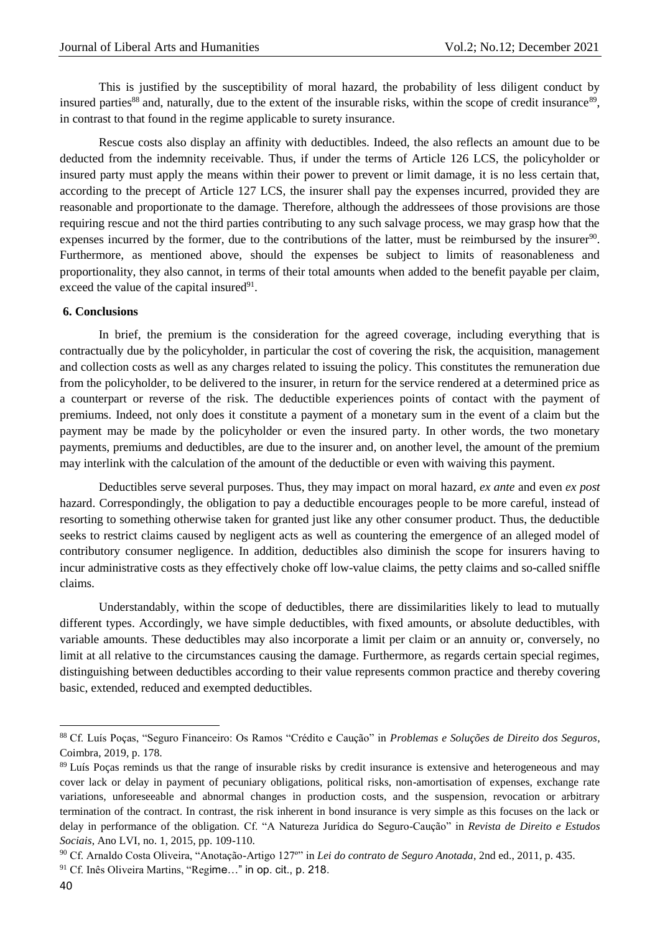This is justified by the susceptibility of moral hazard, the probability of less diligent conduct by insured parties<sup>88</sup> and, naturally, due to the extent of the insurable risks, within the scope of credit insurance<sup>89</sup>, in contrast to that found in the regime applicable to surety insurance.

Rescue costs also display an affinity with deductibles. Indeed, the also reflects an amount due to be deducted from the indemnity receivable. Thus, if under the terms of Article 126 LCS, the policyholder or insured party must apply the means within their power to prevent or limit damage, it is no less certain that, according to the precept of Article 127 LCS, the insurer shall pay the expenses incurred, provided they are reasonable and proportionate to the damage. Therefore, although the addressees of those provisions are those requiring rescue and not the third parties contributing to any such salvage process, we may grasp how that the expenses incurred by the former, due to the contributions of the latter, must be reimbursed by the insurer $90$ . Furthermore, as mentioned above, should the expenses be subject to limits of reasonableness and proportionality, they also cannot, in terms of their total amounts when added to the benefit payable per claim, exceed the value of the capital insured $91$ .

### **6. Conclusions**

In brief, the premium is the consideration for the agreed coverage, including everything that is contractually due by the policyholder, in particular the cost of covering the risk, the acquisition, management and collection costs as well as any charges related to issuing the policy. This constitutes the remuneration due from the policyholder, to be delivered to the insurer, in return for the service rendered at a determined price as a counterpart or reverse of the risk. The deductible experiences points of contact with the payment of premiums. Indeed, not only does it constitute a payment of a monetary sum in the event of a claim but the payment may be made by the policyholder or even the insured party. In other words, the two monetary payments, premiums and deductibles, are due to the insurer and, on another level, the amount of the premium may interlink with the calculation of the amount of the deductible or even with waiving this payment.

Deductibles serve several purposes. Thus, they may impact on moral hazard, *ex ante* and even *ex post* hazard. Correspondingly, the obligation to pay a deductible encourages people to be more careful, instead of resorting to something otherwise taken for granted just like any other consumer product. Thus, the deductible seeks to restrict claims caused by negligent acts as well as countering the emergence of an alleged model of contributory consumer negligence. In addition, deductibles also diminish the scope for insurers having to incur administrative costs as they effectively choke off low-value claims, the petty claims and so-called sniffle claims.

Understandably, within the scope of deductibles, there are dissimilarities likely to lead to mutually different types. Accordingly, we have simple deductibles, with fixed amounts, or absolute deductibles, with variable amounts. These deductibles may also incorporate a limit per claim or an annuity or, conversely, no limit at all relative to the circumstances causing the damage. Furthermore, as regards certain special regimes, distinguishing between deductibles according to their value represents common practice and thereby covering basic, extended, reduced and exempted deductibles.

**.** 

<sup>88</sup> Cf. Luís Poças, "Seguro Financeiro: Os Ramos "Crédito e Caução" in *Problemas e Soluções de Direito dos Seguros*, Coimbra, 2019, p. 178.

<sup>&</sup>lt;sup>89</sup> Luís Poças reminds us that the range of insurable risks by credit insurance is extensive and heterogeneous and may cover lack or delay in payment of pecuniary obligations, political risks, non-amortisation of expenses, exchange rate variations, unforeseeable and abnormal changes in production costs, and the suspension, revocation or arbitrary termination of the contract. In contrast, the risk inherent in bond insurance is very simple as this focuses on the lack or delay in performance of the obligation. Cf. "A Natureza Jurídica do Seguro-Caução" in *Revista de Direito e Estudos Sociais*, Ano LVI, no. 1, 2015, pp. 109-110.

<sup>90</sup> Cf. Arnaldo Costa Oliveira, "Anotação-Artigo 127º" in *Lei do contrato de Seguro Anotada*, 2nd ed., 2011, p. 435. <sup>91</sup> Cf. Inês Oliveira Martins, "Regime…" in op. cit., p. 218.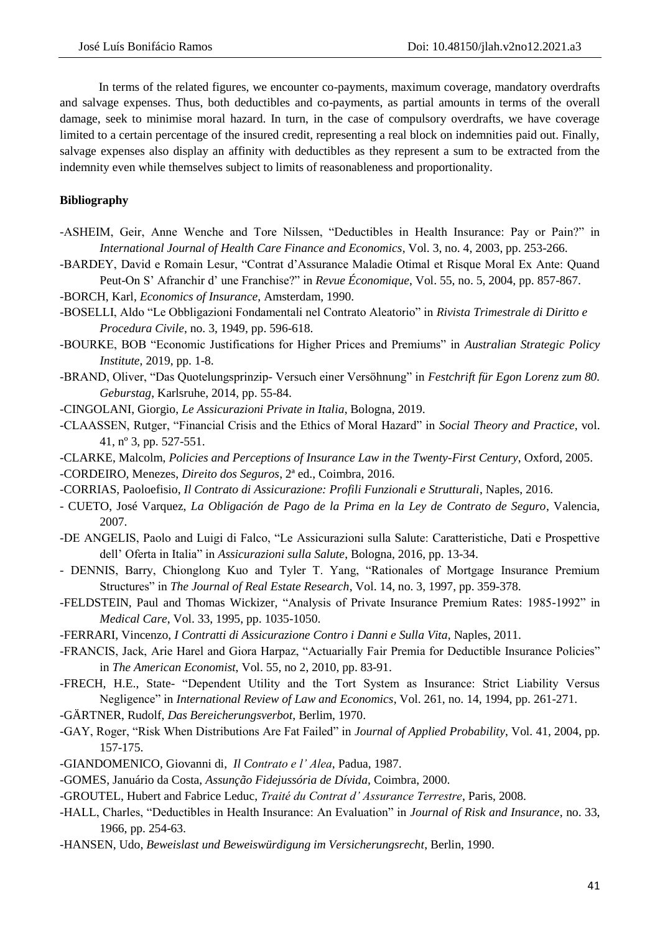In terms of the related figures, we encounter co-payments, maximum coverage, mandatory overdrafts and salvage expenses. Thus, both deductibles and co-payments, as partial amounts in terms of the overall damage, seek to minimise moral hazard. In turn, in the case of compulsory overdrafts, we have coverage limited to a certain percentage of the insured credit, representing a real block on indemnities paid out. Finally, salvage expenses also display an affinity with deductibles as they represent a sum to be extracted from the indemnity even while themselves subject to limits of reasonableness and proportionality.

# **Bibliography**

- -ASHEIM, Geir, Anne Wenche and Tore Nilssen, "Deductibles in Health Insurance: Pay or Pain?" in *International Journal of Health Care Finance and Economics*, Vol. 3, no. 4, 2003, pp. 253-266.
- -BARDEY, David e Romain Lesur, "Contrat d'Assurance Maladie Otimal et Risque Moral Ex Ante: Quand Peut-On S' Afranchir d' une Franchise?" in *Revue Économique*, Vol. 55, no. 5, 2004, pp. 857-867.
- -BORCH, Karl, *Economics of Insurance*, Amsterdam, 1990.
- -BOSELLI, Aldo "Le Obbligazioni Fondamentali nel Contrato Aleatorio" in *Rivista Trimestrale di Diritto e Procedura Civile*, no. 3, 1949, pp. 596-618.
- -BOURKE, BOB "Economic Justifications for Higher Prices and Premiums" in *Australian Strategic Policy Institute*, 2019, pp. 1-8.
- -BRAND, Oliver, "Das Quotelungsprinzip- Versuch einer Versöhnung" in *Festchrift für Egon Lorenz zum 80. Geburstag*, Karlsruhe, 2014, pp. 55-84.
- -CINGOLANI, Giorgio, *Le Assicurazioni Private in Italia*, Bologna, 2019.
- -CLAASSEN, Rutger, "Financial Crisis and the Ethics of Moral Hazard" in *Social Theory and Practice*, vol. 41, nº 3, pp. 527-551.
- -CLARKE, Malcolm, *Policies and Perceptions of Insurance Law in the Twenty-First Century*, Oxford, 2005. -CORDEIRO, Menezes, *Direito dos Seguros*, 2ª ed., Coimbra, 2016.
- 
- -CORRIAS, Paoloefisio, *Il Contrato di Assicurazione: Profili Funzionali e Strutturali*, Naples, 2016.
- CUETO, José Varquez, *La Obligación de Pago de la Prima en la Ley de Contrato de Seguro*, Valencia, 2007.
- -DE ANGELIS, Paolo and Luigi di Falco, "Le Assicurazioni sulla Salute: Caratteristiche, Dati e Prospettive dell' Oferta in Italia" in *Assicurazioni sulla Salute*, Bologna, 2016, pp. 13-34.
- DENNIS, Barry, Chionglong Kuo and Tyler T. Yang, "Rationales of Mortgage Insurance Premium Structures" in *The Journal of Real Estate Research*, Vol. 14, no. 3, 1997, pp. 359-378.
- -FELDSTEIN, Paul and Thomas Wickizer, "Analysis of Private Insurance Premium Rates: 1985-1992" in *Medical Care*, Vol. 33, 1995, pp. 1035-1050.
- -FERRARI, Vincenzo, *I Contratti di Assicurazione Contro i Danni e Sulla Vita*, Naples, 2011.
- -FRANCIS, Jack, Arie Harel and Giora Harpaz, "Actuarially Fair Premia for Deductible Insurance Policies" in *The American Economist*, Vol. 55, no 2, 2010, pp. 83-91.
- -FRECH, H.E., State- "Dependent Utility and the Tort System as Insurance: Strict Liability Versus Negligence" in *International Review of Law and Economics*, Vol. 261, no. 14, 1994, pp. 261-271.
- -GÄRTNER, Rudolf, *Das Bereicherungsverbot*, Berlim, 1970.
- -GAY, Roger, "Risk When Distributions Are Fat Failed" in *Journal of Applied Probability*, Vol. 41, 2004, pp. 157-175.
- -GIANDOMENICO, Giovanni di, *Il Contrato e l' Alea*, Padua, 1987.
- -GOMES, Januário da Costa, *Assunção Fidejussória de Dívida,* Coimbra, 2000.
- -GROUTEL, Hubert and Fabrice Leduc, *Traité du Contrat d' Assurance Terrestre*, Paris, 2008.
- -HALL, Charles, "Deductibles in Health Insurance: An Evaluation" in *Journal of Risk and Insurance*, no. 33, 1966, pp. 254-63.
- -HANSEN, Udo, *Beweislast und Beweiswürdigung im Versicherungsrecht*, Berlin, 1990.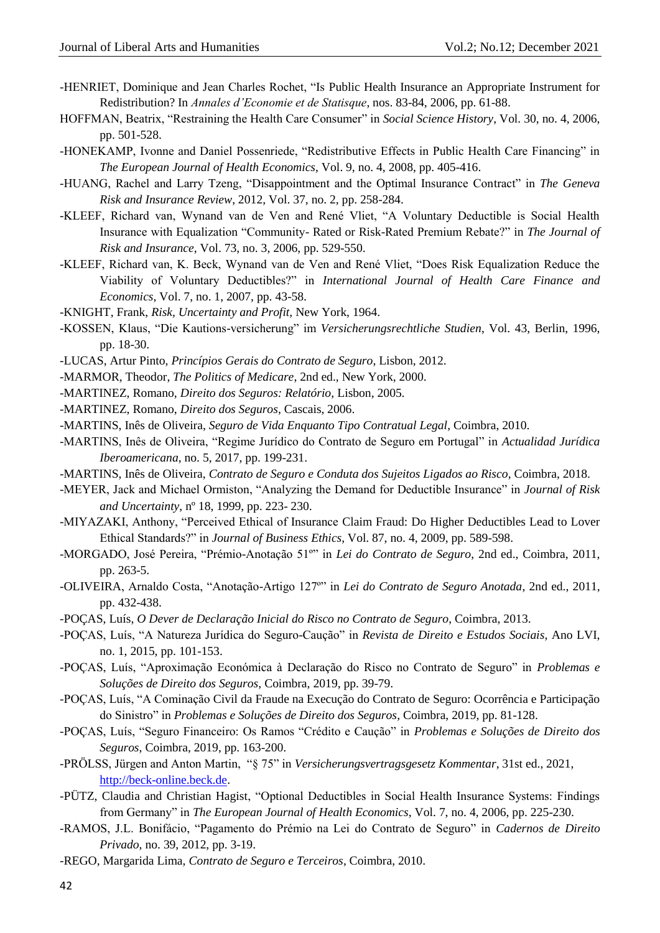- -HENRIET, Dominique and Jean Charles Rochet, "Is Public Health Insurance an Appropriate Instrument for Redistribution? In *Annales d'Economie et de Statisque*, nos. 83-84, 2006, pp. 61-88.
- HOFFMAN, Beatrix, "Restraining the Health Care Consumer" in *Social Science History*, Vol. 30, no. 4, 2006, pp. 501-528.
- -HONEKAMP, Ivonne and Daniel Possenriede, "Redistributive Effects in Public Health Care Financing" in *The European Journal of Health Economics*, Vol. 9, no. 4, 2008, pp. 405-416.
- -HUANG, Rachel and Larry Tzeng, "Disappointment and the Optimal Insurance Contract" in *The Geneva Risk and Insurance Review*, 2012, Vol. 37, no. 2, pp. 258-284.
- -KLEEF, Richard van, Wynand van de Ven and René Vliet, "A Voluntary Deductible is Social Health Insurance with Equalization "Community- Rated or Risk-Rated Premium Rebate?" in *The Journal of Risk and Insurance*, Vol. 73, no. 3, 2006, pp. 529-550.
- -KLEEF, Richard van, K. Beck, Wynand van de Ven and René Vliet, "Does Risk Equalization Reduce the Viability of Voluntary Deductibles?" in *International Journal of Health Care Finance and Economics*, Vol. 7, no. 1, 2007, pp. 43-58.
- -KNIGHT, Frank, *Risk, Uncertainty and Profit,* New York, 1964.
- -KOSSEN, Klaus, "Die Kautions-versicherung" im *Versicherungsrechtliche Studien*, Vol. 43, Berlin, 1996, pp. 18-30.
- -LUCAS, Artur Pinto, *Princípios Gerais do Contrato de Seguro*, Lisbon, 2012.
- -MARMOR, Theodor, *The Politics of Medicare*, 2nd ed., New York, 2000.
- -MARTINEZ, Romano, *Direito dos Seguros: Relatório*, Lisbon, 2005.
- -MARTINEZ, Romano, *Direito dos Seguros*, Cascais, 2006.
- -MARTINS, Inês de Oliveira, *Seguro de Vida Enquanto Tipo Contratual Legal*, Coimbra, 2010.
- -MARTINS, Inês de Oliveira, "Regime Jurídico do Contrato de Seguro em Portugal" in *Actualidad Jurídica Iberoamericana*, no. 5, 2017, pp. 199-231.
- -MARTINS, Inês de Oliveira, *Contrato de Seguro e Conduta dos Sujeitos Ligados ao Risco*, Coimbra, 2018.
- -MEYER, Jack and Michael Ormiston, "Analyzing the Demand for Deductible Insurance" in *Journal of Risk and Uncertainty*, nº 18, 1999, pp. 223- 230.
- -MIYAZAKI, Anthony, "Perceived Ethical of Insurance Claim Fraud: Do Higher Deductibles Lead to Lover Ethical Standards?" in *Journal of Business Ethics*, Vol. 87, no. 4, 2009, pp. 589-598.
- -MORGADO, José Pereira, "Prémio-Anotação 51º" in *Lei do Contrato de Seguro*, 2nd ed., Coimbra, 2011, pp. 263-5.
- -OLIVEIRA, Arnaldo Costa, "Anotação-Artigo 127º" in *Lei do Contrato de Seguro Anotada*, 2nd ed., 2011, pp. 432-438.
- -POÇAS, Luís, *O Dever de Declaração Inicial do Risco no Contrato de Seguro*, Coimbra, 2013.
- -POÇAS, Luís, "A Natureza Jurídica do Seguro-Caução" in *Revista de Direito e Estudos Sociais*, Ano LVI, no. 1, 2015, pp. 101-153.
- -POÇAS, Luís, "Aproximação Económica à Declaração do Risco no Contrato de Seguro" in *Problemas e Soluções de Direito dos Seguros*, Coimbra, 2019, pp. 39-79.
- -POÇAS, Luís, "A Cominação Civil da Fraude na Execução do Contrato de Seguro: Ocorrência e Participação do Sinistro" in *Problemas e Soluções de Direito dos Seguros*, Coimbra, 2019, pp. 81-128.
- -POÇAS, Luís, "Seguro Financeiro: Os Ramos "Crédito e Caução" in *Problemas e Soluções de Direito dos Seguros*, Coimbra, 2019, pp. 163-200.
- -PRÖLSS, Jürgen and Anton Martin, "§ 75" in *Versicherungsvertragsgesetz Kommentar*, 31st ed., 2021, [http://beck-online.beck.de.](http://beck-online.beck.de/)
- -PÜTZ, Claudia and Christian Hagist, "Optional Deductibles in Social Health Insurance Systems: Findings from Germany" in *The European Journal of Health Economics*, Vol. 7, no. 4, 2006, pp. 225-230.
- -RAMOS, J.L. Bonifácio, "Pagamento do Prémio na Lei do Contrato de Seguro" in *Cadernos de Direito Privado*, no. 39, 2012, pp. 3-19.
- -REGO, Margarida Lima, *Contrato de Seguro e Terceiros*, Coimbra, 2010.